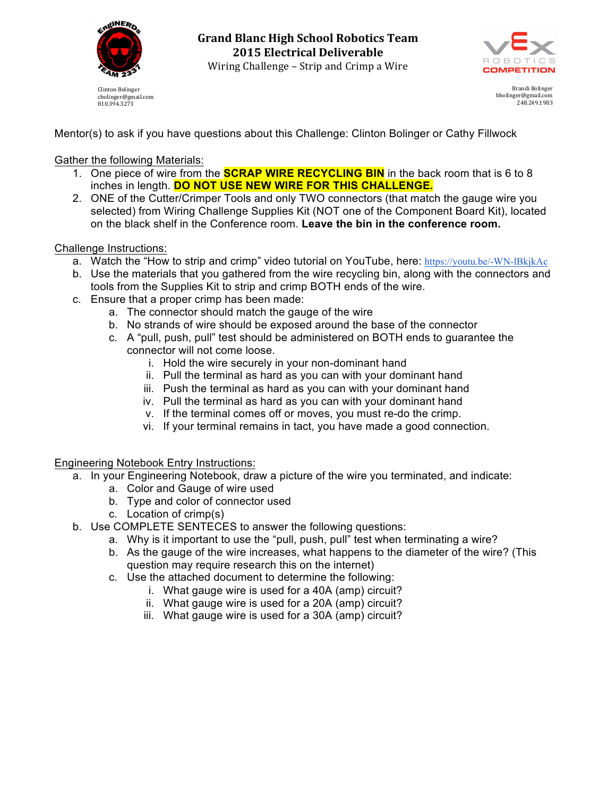

cbolinger@gmail.com 810.394.3273

**Grand Blanc High School Robotics Team 2015 Electrical Deliverable** Wiring Challenge - Strip and Crimp a Wire



Brandi Bolinger bbolinger@gmail.com 248.249.1983

Mentor(s) to ask if you have questions about this Challenge: Clinton Bolinger or Cathy Fillwock

Gather the following Materials:

- 1. One piece of wire from the **SCRAP WIRE RECYCLING BIN** in the back room that is 6 to 8 inches in length. **DO NOT USE NEW WIRE FOR THIS CHALLENGE.**
- 2. ONE of the Cutter/Crimper Tools and only TWO connectors (that match the gauge wire you selected) from Wiring Challenge Supplies Kit (NOT one of the Component Board Kit), located on the black shelf in the Conference room. **Leave the bin in the conference room.**

## Challenge Instructions:

- a. Watch the "How to strip and crimp" video tutorial on YouTube, here: https://youtu.be/-WN-lBkjkAc
- b. Use the materials that you gathered from the wire recycling bin, along with the connectors and tools from the Supplies Kit to strip and crimp BOTH ends of the wire.
- c. Ensure that a proper crimp has been made:
	- a. The connector should match the gauge of the wire
	- b. No strands of wire should be exposed around the base of the connector
	- c. A "pull, push, pull" test should be administered on BOTH ends to guarantee the connector will not come loose.
		- i. Hold the wire securely in your non-dominant hand
		- ii. Pull the terminal as hard as you can with your dominant hand
		- iii. Push the terminal as hard as you can with your dominant hand
		- iv. Pull the terminal as hard as you can with your dominant hand
		- v. If the terminal comes off or moves, you must re-do the crimp.
		- vi. If your terminal remains in tact, you have made a good connection.

Engineering Notebook Entry Instructions:

- a. In your Engineering Notebook, draw a picture of the wire you terminated, and indicate:
	- a. Color and Gauge of wire used
	- b. Type and color of connector used
	- c. Location of crimp(s)
- b. Use COMPLETE SENTECES to answer the following questions:
	- a. Why is it important to use the "pull, push, pull" test when terminating a wire?
	- b. As the gauge of the wire increases, what happens to the diameter of the wire? (This question may require research this on the internet)
	- c. Use the attached document to determine the following:
		- i. What gauge wire is used for a 40A (amp) circuit?
		- ii. What gauge wire is used for a 20A (amp) circuit?
		- iii. What gauge wire is used for a 30A (amp) circuit?